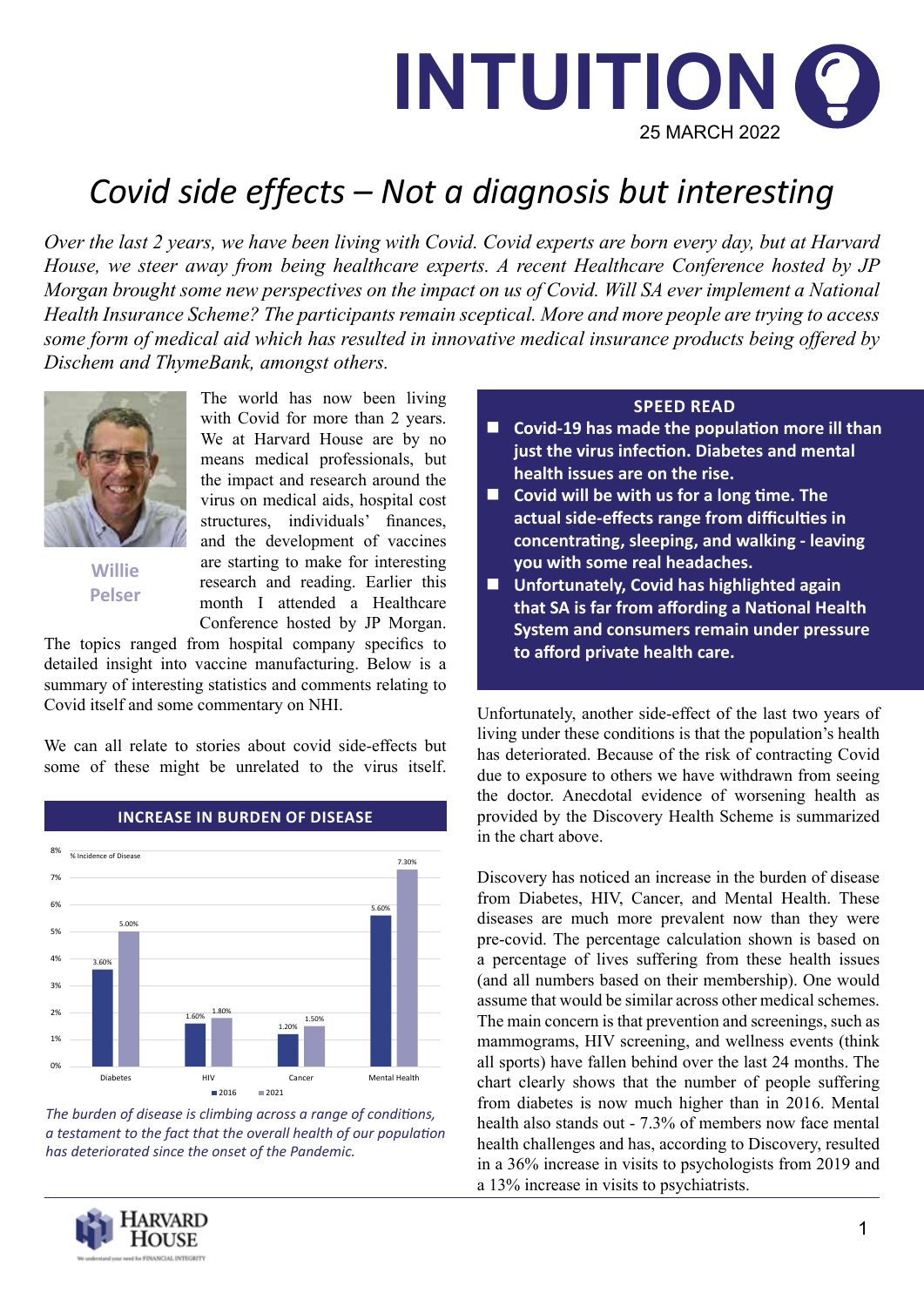

# *Covid side effects – Not a diagnosis but interesting*

*Over the last 2 years, we have been living with Covid. Covid experts are born every day, but at Harvard House, we steer away from being healthcare experts. A recent Healthcare Conference hosted by JP Morgan brought some new perspectives on the impact on us of Covid. Will SA ever implement a National Health Insurance Scheme? The participants remain sceptical. More and more people are trying to access some form of medical aid which has resulted in innovative medical insurance products being offered by Dischem and ThymeBank, amongst others.*



**Willie Pelser**

The world has now been living with Covid for more than 2 years. We at Harvard House are by no means medical professionals, but the impact and research around the virus on medical aids, hospital cost structures, individuals' finances, and the development of vaccines are starting to make for interesting research and reading. Earlier this month I attended a Healthcare Conference hosted by JP Morgan.

The topics ranged from hospital company specifics to detailed insight into vaccine manufacturing. Below is a summary of interesting statistics and comments relating to Covid itself and some commentary on NHI.

We can all relate to stories about covid side-effects but some of these might be unrelated to the virus itself.



#### **INCREASE IN BURDEN OF DISEASE**

*The burden of disease is climbing across a range of conditions, a testament to the fact that the overall health of our population has deteriorated since the onset of the Pandemic.*



#### **SPEED READ**

- Covid-19 has made the population more ill than **just the virus infection. Diabetes and mental health issues are on the rise.**
- Covid will be with us for a long time. The **actual side-effects range from difficulties in concentrating, sleeping, and walking - leaving you with some real headaches.**
- **Unfortunately, Covid has highlighted again that SA is far from affording a National Health System and consumers remain under pressure to afford private health care.**

Unfortunately, another side-effect of the last two years of living under these conditions is that the population's health has deteriorated. Because of the risk of contracting Covid due to exposure to others we have withdrawn from seeing the doctor. Anecdotal evidence of worsening health as provided by the Discovery Health Scheme is summarized in the chart above.

Discovery has noticed an increase in the burden of disease from Diabetes, HIV, Cancer, and Mental Health. These diseases are much more prevalent now than they were pre-covid. The percentage calculation shown is based on a percentage of lives suffering from these health issues (and all numbers based on their membership). One would assume that would be similar across other medical schemes. The main concern is that prevention and screenings, such as mammograms, HIV screening, and wellness events (think all sports) have fallen behind over the last 24 months. The chart clearly shows that the number of people suffering from diabetes is now much higher than in 2016. Mental health also stands out - 7.3% of members now face mental health challenges and has, according to Discovery, resulted in a 36% increase in visits to psychologists from 2019 and a 13% increase in visits to psychiatrists.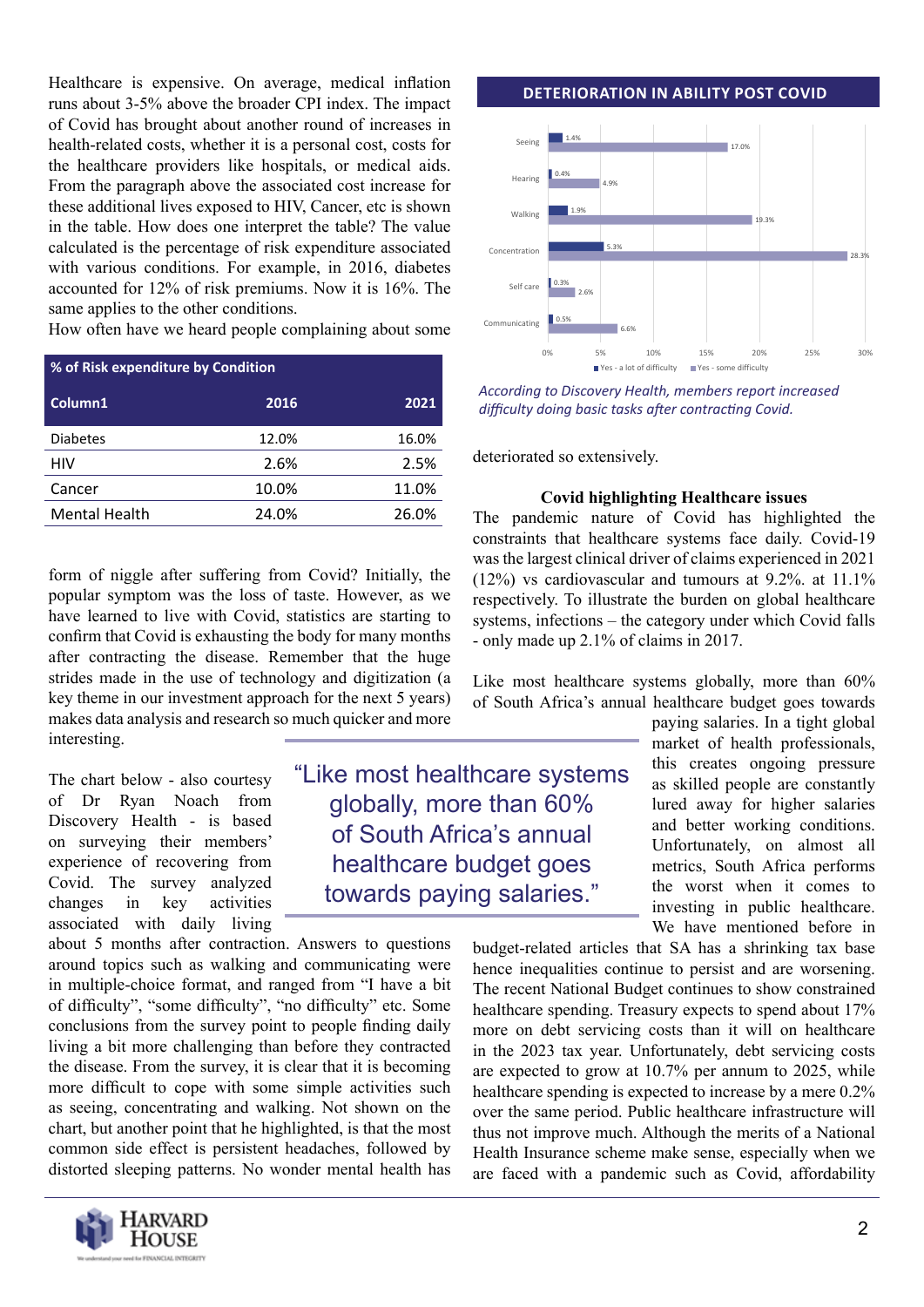Healthcare is expensive. On average, medical inflation runs about 3-5% above the broader CPI index. The impact of Covid has brought about another round of increases in health-related costs, whether it is a personal cost, costs for the healthcare providers like hospitals, or medical aids. From the paragraph above the associated cost increase for these additional lives exposed to HIV, Cancer, etc is shown in the table. How does one interpret the table? The value calculated is the percentage of risk expenditure associated with various conditions. For example, in 2016, diabetes accounted for 12% of risk premiums. Now it is 16%. The same applies to the other conditions.

How often have we heard people complaining about some

| % of Risk expenditure by Condition |       |       |
|------------------------------------|-------|-------|
| Column1                            | 2016  | 2021  |
| <b>Diabetes</b>                    | 12.0% | 16.0% |
| HIV                                | 2.6%  | 2.5%  |
| Cancer                             | 10.0% | 11.0% |
| <b>Mental Health</b>               | 24.0% | 26.0% |

form of niggle after suffering from Covid? Initially, the popular symptom was the loss of taste. However, as we have learned to live with Covid, statistics are starting to confirm that Covid is exhausting the body for many months after contracting the disease. Remember that the huge strides made in the use of technology and digitization (a key theme in our investment approach for the next 5 years) makes data analysis and research so much quicker and more interesting.

The chart below - also courtesy of Dr Ryan Noach from Discovery Health - is based on surveying their members' experience of recovering from Covid. The survey analyzed changes in key activities associated with daily living

about 5 months after contraction. Answers to questions around topics such as walking and communicating were in multiple-choice format, and ranged from "I have a bit of difficulty", "some difficulty", "no difficulty" etc. Some conclusions from the survey point to people finding daily living a bit more challenging than before they contracted the disease. From the survey, it is clear that it is becoming more difficult to cope with some simple activities such as seeing, concentrating and walking. Not shown on the chart, but another point that he highlighted, is that the most common side effect is persistent headaches, followed by distorted sleeping patterns. No wonder mental health has



"Like most healthcare systems globally, more than 60% of South Africa's annual healthcare budget goes towards paying salaries."

#### **DETERIORATION IN ABILITY POST COVID**



*According to Discovery Health, members report increased difficulty doing basic tasks after contracting Covid.*

deteriorated so extensively.

#### **Covid highlighting Healthcare issues**

The pandemic nature of Covid has highlighted the constraints that healthcare systems face daily. Covid-19 was the largest clinical driver of claims experienced in 2021 (12%) vs cardiovascular and tumours at 9.2%. at 11.1% respectively. To illustrate the burden on global healthcare systems, infections – the category under which Covid falls - only made up 2.1% of claims in 2017.

Like most healthcare systems globally, more than 60% of South Africa's annual healthcare budget goes towards

> paying salaries. In a tight global market of health professionals, this creates ongoing pressure as skilled people are constantly lured away for higher salaries and better working conditions. Unfortunately, on almost all metrics, South Africa performs the worst when it comes to investing in public healthcare. We have mentioned before in

budget-related articles that SA has a shrinking tax base hence inequalities continue to persist and are worsening. The recent National Budget continues to show constrained healthcare spending. Treasury expects to spend about 17% more on debt servicing costs than it will on healthcare in the 2023 tax year. Unfortunately, debt servicing costs are expected to grow at 10.7% per annum to 2025, while healthcare spending is expected to increase by a mere 0.2% over the same period. Public healthcare infrastructure will thus not improve much. Although the merits of a National Health Insurance scheme make sense, especially when we are faced with a pandemic such as Covid, affordability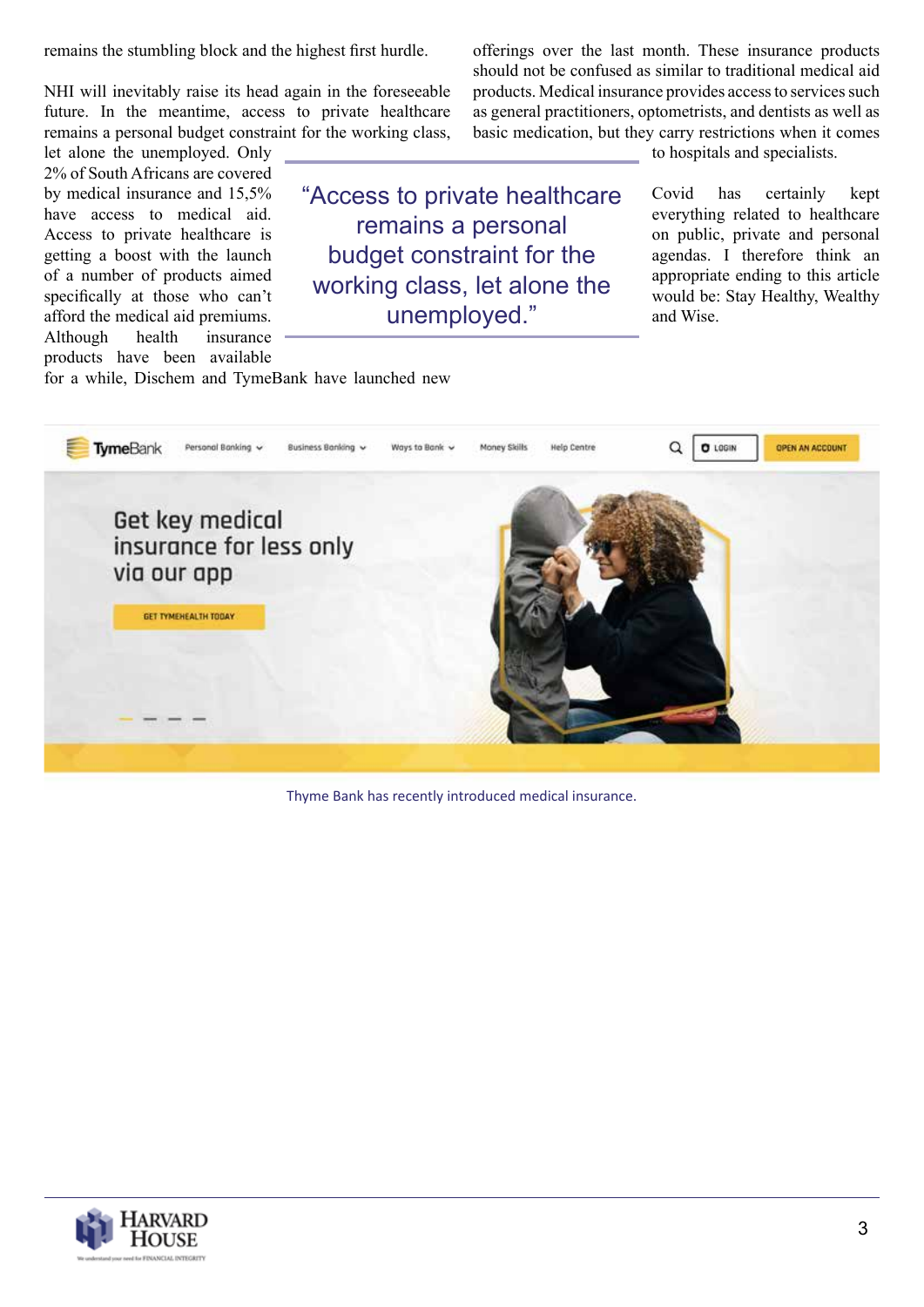remains the stumbling block and the highest first hurdle.

NHI will inevitably raise its head again in the foreseeable future. In the meantime, access to private healthcare remains a personal budget constraint for the working class,

let alone the unemployed. Only 2% of South Africans are covered by medical insurance and 15,5% have access to medical aid. Access to private healthcare is getting a boost with the launch of a number of products aimed specifically at those who can't afford the medical aid premiums. Although health insurance products have been available

"Access to private healthcare remains a personal budget constraint for the working class, let alone the unemployed."

offerings over the last month. These insurance products should not be confused as similar to traditional medical aid products. Medical insurance provides access to services such as general practitioners, optometrists, and dentists as well as basic medication, but they carry restrictions when it comes to hospitals and specialists.

> Covid has certainly kept everything related to healthcare on public, private and personal agendas. I therefore think an appropriate ending to this article would be: Stay Healthy, Wealthy and Wise.

for a while, Dischem and TymeBank have launched new



Thyme Bank has recently introduced medical insurance.